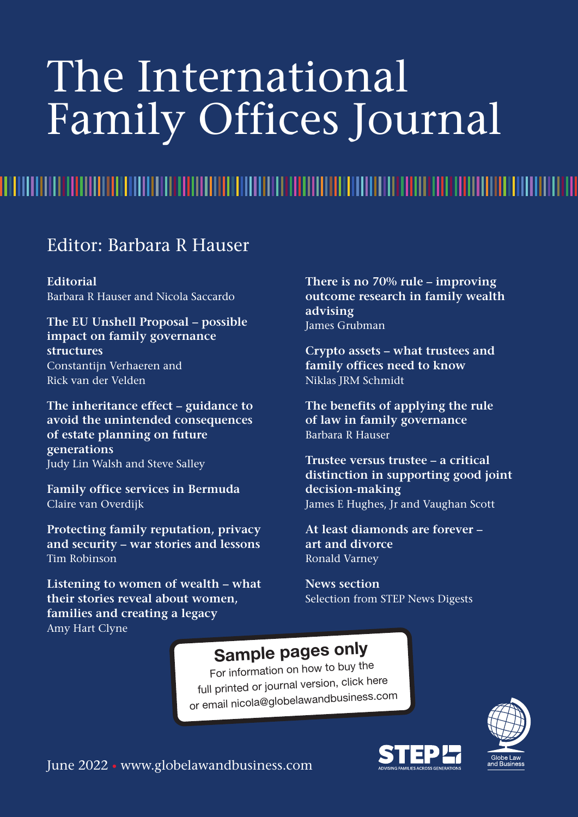# The International Family Offices Journal

<u>TITE TIETU TEITEITU TEITEITU TEITEITU TEITEITU TEITEITU TEITEITU TEITEITU TEITEITU TEITEITU TEITEITU TEITEITU</u>

Editor: Barbara R Hauser

**Editorial** Barbara R Hauser and Nicola Saccardo

**The EU Unshell Proposal – possible impact on family governance structures** Constantijn Verhaeren and Rick van der Velden

**The inheritance effect – guidance to avoid the unintended consequences of estate planning on future generations** Judy Lin Walsh and Steve Salley

**Family office services in Bermuda** Claire van Overdijk

**Protecting family reputation, privacy and security – war stories and lessons** Tim Robinson

**Listening to women of wealth – what their stories reveal about women, families and creating a legacy** Amy Hart Clyne

**There is no 70% rule – improving outcome research in family wealth advising** James Grubman

**Crypto assets – what trustees and family offices need to know** Niklas JRM Schmidt

**The benefits of applying the rule of law in family governance** Barbara R Hauser

**Trustee versus trustee – a critical distinction in supporting good joint decision-making** James E Hughes, Jr and Vaughan Scott

**At least diamonds are forever – art and divorce** Ronald Varney

**News section** Selection from STEP News Digests

#### **Sample pages only**

For information on how to buy the full printed or journa<sup>l</sup> version, [click](https://www.globelawandbusiness.com/journals/the-international-family-offices-journal) here or email nicola@globelawandbusiness.com

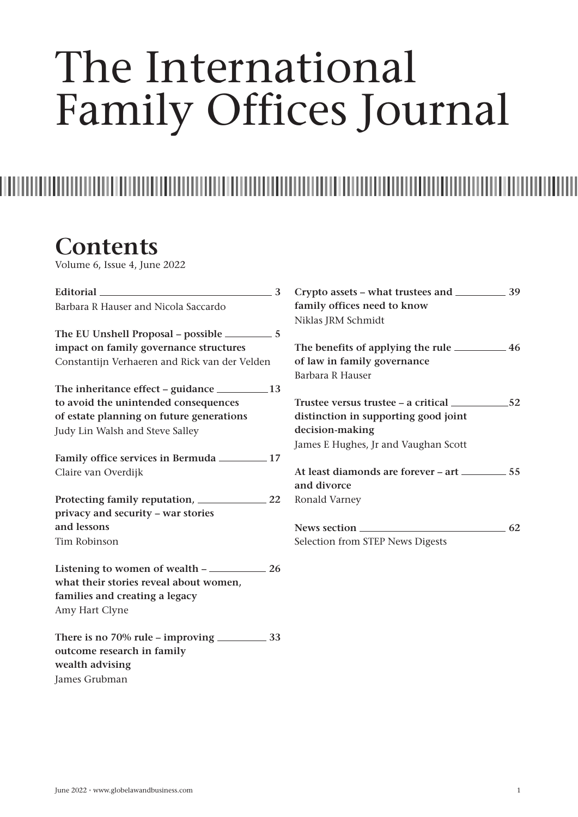# The International Family Offices Journal

### **Contents**

Volume 6, Issue 4, June 2022

| Editorial 2008 3                              |                                      |    |
|-----------------------------------------------|--------------------------------------|----|
| Barbara R Hauser and Nicola Saccardo          | family offices need to know          |    |
|                                               | Niklas JRM Schmidt                   |    |
|                                               |                                      |    |
| impact on family governance structures        |                                      |    |
| Constantijn Verhaeren and Rick van der Velden | of law in family governance          |    |
|                                               | Barbara R Hauser                     |    |
|                                               |                                      |    |
| to avoid the unintended consequences          |                                      |    |
| of estate planning on future generations      | distinction in supporting good joint |    |
| Judy Lin Walsh and Steve Salley               | decision-making                      |    |
|                                               | James E Hughes, Jr and Vaughan Scott |    |
|                                               |                                      |    |
| Claire van Overdijk                           |                                      |    |
|                                               | and divorce                          |    |
| Protecting family reputation, 22              | Ronald Varney                        |    |
| privacy and security - war stories            |                                      |    |
| and lessons                                   |                                      | 62 |
| Tim Robinson                                  | Selection from STEP News Digests     |    |
| Listening to women of wealth – 26             |                                      |    |
| what their stories reveal about women,        |                                      |    |
| families and creating a legacy                |                                      |    |
| Amy Hart Clyne                                |                                      |    |
|                                               |                                      |    |
| outcome research in family                    |                                      |    |
| wealth advising                               |                                      |    |
| James Grubman                                 |                                      |    |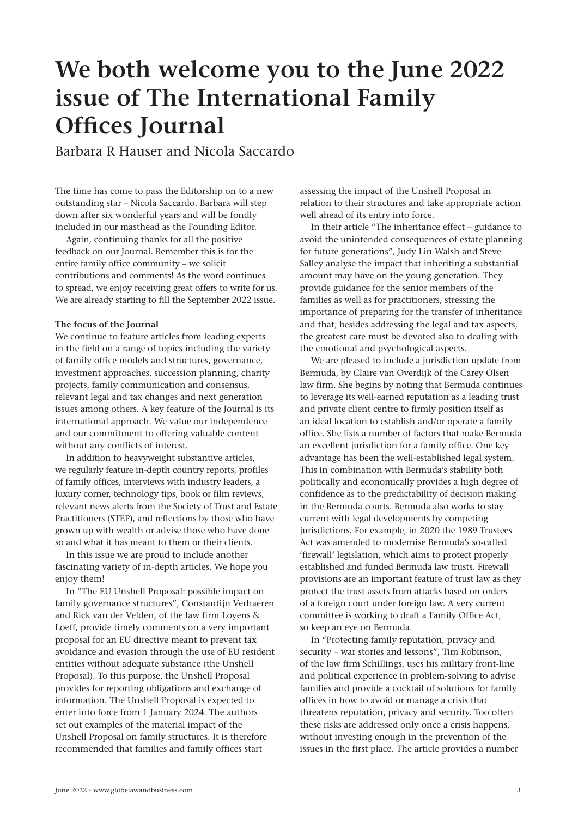## **We both welcome you to the June 2022 issue of The International Family Offices Journal**

Barbara R Hauser and Nicola Saccardo

The time has come to pass the Editorship on to a new outstanding star – Nicola Saccardo. Barbara will step down after six wonderful years and will be fondly included in our masthead as the Founding Editor.

Again, continuing thanks for all the positive feedback on our Journal. Remember this is for the entire family office community – we solicit contributions and comments! As the word continues to spread, we enjoy receiving great offers to write for us. We are already starting to fill the September 2022 issue.

#### **The focus of the Journal**

We continue to feature articles from leading experts in the field on a range of topics including the variety of family office models and structures, governance, investment approaches, succession planning, charity projects, family communication and consensus, relevant legal and tax changes and next generation issues among others. A key feature of the Journal is its international approach. We value our independence and our commitment to offering valuable content without any conflicts of interest.

In addition to heavyweight substantive articles, we regularly feature in-depth country reports, profiles of family offices, interviews with industry leaders, a luxury corner, technology tips, book or film reviews, relevant news alerts from the Society of Trust and Estate Practitioners (STEP), and reflections by those who have grown up with wealth or advise those who have done so and what it has meant to them or their clients.

In this issue we are proud to include another fascinating variety of in-depth articles. We hope you enjoy them!

In "The EU Unshell Proposal: possible impact on family governance structures", Constantijn Verhaeren and Rick van der Velden, of the law firm Loyens & Loeff, provide timely comments on a very important proposal for an EU directive meant to prevent tax avoidance and evasion through the use of EU resident entities without adequate substance (the Unshell Proposal). To this purpose, the Unshell Proposal provides for reporting obligations and exchange of information. The Unshell Proposal is expected to enter into force from 1 January 2024. The authors set out examples of the material impact of the Unshell Proposal on family structures. It is therefore recommended that families and family offices start

assessing the impact of the Unshell Proposal in relation to their structures and take appropriate action well ahead of its entry into force.

In their article "The inheritance effect – guidance to avoid the unintended consequences of estate planning for future generations", Judy Lin Walsh and Steve Salley analyse the impact that inheriting a substantial amount may have on the young generation. They provide guidance for the senior members of the families as well as for practitioners, stressing the importance of preparing for the transfer of inheritance and that, besides addressing the legal and tax aspects, the greatest care must be devoted also to dealing with the emotional and psychological aspects.

We are pleased to include a jurisdiction update from Bermuda, by Claire van Overdijk of the Carey Olsen law firm. She begins by noting that Bermuda continues to leverage its well-earned reputation as a leading trust and private client centre to firmly position itself as an ideal location to establish and/or operate a family office. She lists a number of factors that make Bermuda an excellent jurisdiction for a family office. One key advantage has been the well-established legal system. This in combination with Bermuda's stability both politically and economically provides a high degree of confidence as to the predictability of decision making in the Bermuda courts. Bermuda also works to stay current with legal developments by competing jurisdictions. For example, in 2020 the 1989 Trustees Act was amended to modernise Bermuda's so-called 'firewall' legislation, which aims to protect properly established and funded Bermuda law trusts. Firewall provisions are an important feature of trust law as they protect the trust assets from attacks based on orders of a foreign court under foreign law. A very current committee is working to draft a Family Office Act, so keep an eye on Bermuda.

In "Protecting family reputation, privacy and security – war stories and lessons", Tim Robinson, of the law firm Schillings, uses his military front-line and political experience in problem-solving to advise families and provide a cocktail of solutions for family offices in how to avoid or manage a crisis that threatens reputation, privacy and security. Too often these risks are addressed only once a crisis happens, without investing enough in the prevention of the issues in the first place. The article provides a number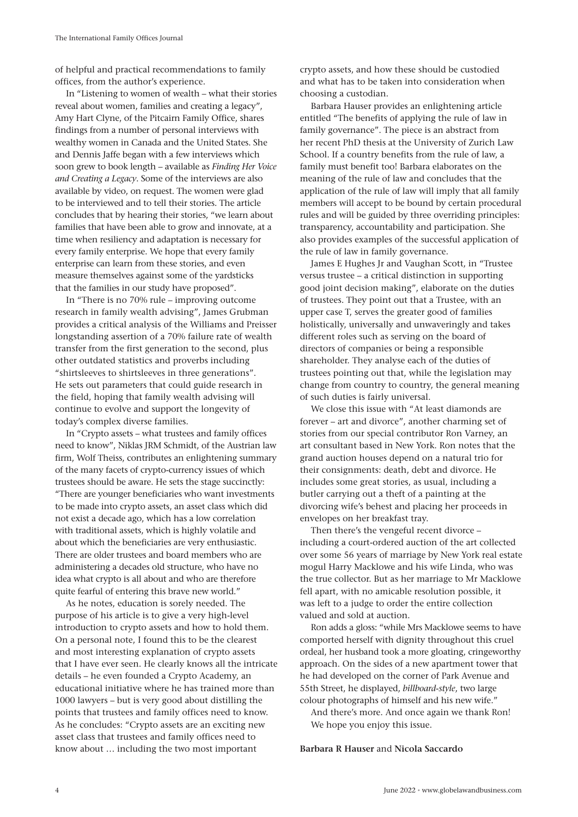of helpful and practical recommendations to family offices, from the author's experience.

In "Listening to women of wealth – what their stories reveal about women, families and creating a legacy", Amy Hart Clyne, of the Pitcairn Family Office, shares findings from a number of personal interviews with wealthy women in Canada and the United States. She and Dennis Jaffe began with a few interviews which soon grew to book length – available as *Finding Her Voice and Creating a Legacy*. Some of the interviews are also available by video, on request. The women were glad to be interviewed and to tell their stories. The article concludes that by hearing their stories, "we learn about families that have been able to grow and innovate, at a time when resiliency and adaptation is necessary for every family enterprise. We hope that every family enterprise can learn from these stories, and even measure themselves against some of the yardsticks that the families in our study have proposed".

In "There is no 70% rule – improving outcome research in family wealth advising", James Grubman provides a critical analysis of the Williams and Preisser longstanding assertion of a 70% failure rate of wealth transfer from the first generation to the second, plus other outdated statistics and proverbs including "shirtsleeves to shirtsleeves in three generations". He sets out parameters that could guide research in the field, hoping that family wealth advising will continue to evolve and support the longevity of today's complex diverse families.

In "Crypto assets – what trustees and family offices need to know", Niklas JRM Schmidt, of the Austrian law firm, Wolf Theiss, contributes an enlightening summary of the many facets of crypto-currency issues of which trustees should be aware. He sets the stage succinctly: "There are younger beneficiaries who want investments to be made into crypto assets, an asset class which did not exist a decade ago, which has a low correlation with traditional assets, which is highly volatile and about which the beneficiaries are very enthusiastic. There are older trustees and board members who are administering a decades old structure, who have no idea what crypto is all about and who are therefore quite fearful of entering this brave new world."

As he notes, education is sorely needed. The purpose of his article is to give a very high-level introduction to crypto assets and how to hold them. On a personal note, I found this to be the clearest and most interesting explanation of crypto assets that I have ever seen. He clearly knows all the intricate details – he even founded a Crypto Academy, an educational initiative where he has trained more than 1000 lawyers – but is very good about distilling the points that trustees and family offices need to know. As he concludes: "Crypto assets are an exciting new asset class that trustees and family offices need to know about … including the two most important

crypto assets, and how these should be custodied and what has to be taken into consideration when choosing a custodian.

Barbara Hauser provides an enlightening article entitled "The benefits of applying the rule of law in family governance". The piece is an abstract from her recent PhD thesis at the University of Zurich Law School. If a country benefits from the rule of law, a family must benefit too! Barbara elaborates on the meaning of the rule of law and concludes that the application of the rule of law will imply that all family members will accept to be bound by certain procedural rules and will be guided by three overriding principles: transparency, accountability and participation. She also provides examples of the successful application of the rule of law in family governance.

James E Hughes Jr and Vaughan Scott, in "Trustee versus trustee – a critical distinction in supporting good joint decision making", elaborate on the duties of trustees. They point out that a Trustee, with an upper case T, serves the greater good of families holistically, universally and unwaveringly and takes different roles such as serving on the board of directors of companies or being a responsible shareholder. They analyse each of the duties of trustees pointing out that, while the legislation may change from country to country, the general meaning of such duties is fairly universal.

We close this issue with "At least diamonds are forever – art and divorce", another charming set of stories from our special contributor Ron Varney, an art consultant based in New York. Ron notes that the grand auction houses depend on a natural trio for their consignments: death, debt and divorce. He includes some great stories, as usual, including a butler carrying out a theft of a painting at the divorcing wife's behest and placing her proceeds in envelopes on her breakfast tray.

Then there's the vengeful recent divorce – including a court-ordered auction of the art collected over some 56 years of marriage by New York real estate mogul Harry Macklowe and his wife Linda, who was the true collector. But as her marriage to Mr Macklowe fell apart, with no amicable resolution possible, it was left to a judge to order the entire collection valued and sold at auction.

Ron adds a gloss: "while Mrs Macklowe seems to have comported herself with dignity throughout this cruel ordeal, her husband took a more gloating, cringeworthy approach. On the sides of a new apartment tower that he had developed on the corner of Park Avenue and 55th Street, he displayed, *billboard-style*, two large colour photographs of himself and his new wife."

And there's more. And once again we thank Ron! We hope you enjoy this issue.

#### **Barbara R Hauser** and **Nicola Saccardo**